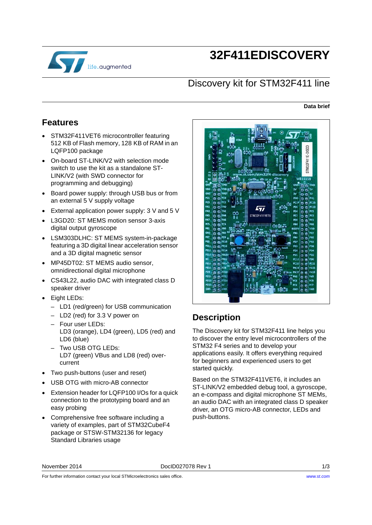

# **32F411EDISCOVERY**

#### Discovery kit for STM32F411 line

#### **Data brief**

#### **Features**

- STM32F411VET6 microcontroller featuring 512 KB of Flash memory, 128 KB of RAM in an LQFP100 package
- On-board ST-LINK/V2 with selection mode switch to use the kit as a standalone ST-LINK/V2 (with SWD connector for programming and debugging)
- Board power supply: through USB bus or from an external 5 V supply voltage
- External application power supply: 3 V and 5 V
- L3GD20: ST MEMS motion sensor 3-axis digital output gyroscope
- LSM303DLHC: ST MEMS system-in-package featuring a 3D digital linear acceleration sensor and a 3D digital magnetic sensor
- MP45DT02: ST MEMS audio sensor, omnidirectional digital microphone
- CS43L22, audio DAC with integrated class D speaker driver
- Eight LEDs:
	- LD1 (red/green) for USB communication
	- LD2 (red) for 3.3 V power on
	- Four user LEDs: LD3 (orange), LD4 (green), LD5 (red) and LD6 (blue)
	- Two USB OTG LEDs: LD7 (green) VBus and LD8 (red) overcurrent
- Two push-buttons (user and reset)
- USB OTG with micro-AB connector
- Extension header for LQFP100 I/Os for a quick connection to the prototyping board and an easy probing
- Comprehensive free software including a variety of examples, part of STM32CubeF4 package or STSW-STM32136 for legacy Standard Libraries usage



## **Description**

The Discovery kit for STM32F411 line helps you to discover the entry level microcontrollers of the STM32 F4 series and to develop your applications easily. It offers everything required for beginners and experienced users to get started quickly.

Based on the STM32F411VET6, it includes an ST-LINK/V2 embedded debug tool, a gyroscope, an e-compass and digital microphone ST MEMs, an audio DAC with an integrated class D speaker driver, an OTG micro-AB connector, LEDs and push-buttons.

For further information contact your local STMicroelectronics sales office.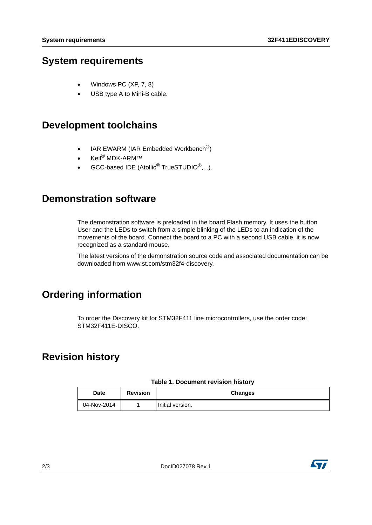#### **System requirements**

- Windows PC (XP, 7, 8)
- USB type A to Mini-B cable.

#### **Development toolchains**

- $\bullet$  IAR EWARM (IAR Embedded Workbench<sup>®</sup>)
- Keil<sup>®</sup> MDK-ARM™
- GCC-based IDE (Atollic $^{\circledR}$  TrueSTUDIO $^{\circledR}$ ,...).

#### **Demonstration software**

The demonstration software is preloaded in the board Flash memory. It uses the button User and the LEDs to switch from a simple blinking of the LEDs to an indication of the movements of the board. Connect the board to a PC with a second USB cable, it is now recognized as a standard mouse.

[The latest versions of the demonstration source code and associated documentation can be](www.st.com/stm32f0discovery)  downloaded from www.st.com/stm32f4-discovery.

# **Ordering information**

To order the Discovery kit for STM32F411 line microcontrollers, use the order code: STM32F411E-DISCO.

## **Revision history**

| <b>Date</b> | <b>Revision</b> | <b>Changes</b>   |
|-------------|-----------------|------------------|
| 04-Nov-2014 |                 | Initial version. |

#### **Table 1. Document revision history**